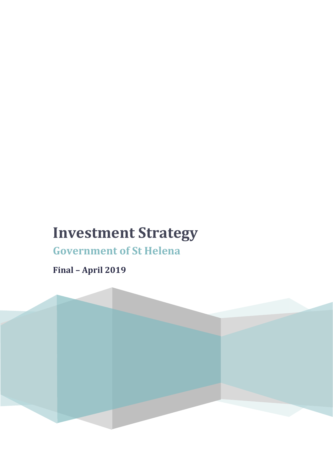# **Investment Strategy**

**Government of St Helena**

**Final – April 2019**

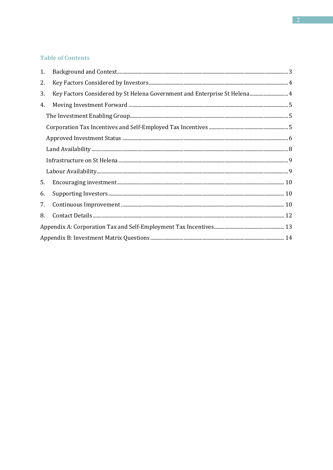## **Table of Contents**

| 1. |                                                                           |  |
|----|---------------------------------------------------------------------------|--|
| 2. |                                                                           |  |
| 3. | Key Factors Considered by St Helena Government and Enterprise St Helena 4 |  |
| 4. |                                                                           |  |
|    |                                                                           |  |
|    |                                                                           |  |
|    |                                                                           |  |
|    |                                                                           |  |
|    |                                                                           |  |
|    |                                                                           |  |
| 5. |                                                                           |  |
| 6. |                                                                           |  |
| 7. |                                                                           |  |
| 8. |                                                                           |  |
|    |                                                                           |  |
|    |                                                                           |  |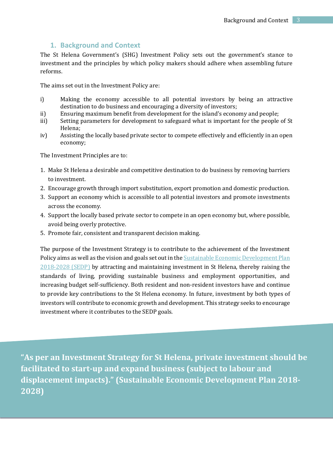## **1. Background and Context**

<span id="page-2-0"></span>The St Helena Government's (SHG) Investment Policy sets out the government's stance to investment and the principles by which policy makers should adhere when assembling future reforms.

The aims set out in the Investment Policy are:

- i) Making the economy accessible to all potential investors by being an attractive destination to do business and encouraging a diversity of investors;
- ii) Ensuring maximum benefit from development for the island's economy and people;
- iii) Setting parameters for development to safeguard what is important for the people of St Helena;
- iv) Assisting the locally based private sector to compete effectively and efficiently in an open economy;

The Investment Principles are to:

- 1. Make St Helena a desirable and competitive destination to do business by removing barriers to investment.
- 2. Encourage growth through import substitution, export promotion and domestic production.
- 3. Support an economy which is accessible to all potential investors and promote investments across the economy.
- 4. Support the locally based private sector to compete in an open economy but, where possible, avoid being overly protective.
- 5. Promote fair, consistent and transparent decision making.

The purpose of the Investment Strategy is to contribute to the achievement of the Investment Policy aims as well as the vision and goals set out in th[e Sustainable Economic Development Plan](http://www.sainthelena.gov.sh/wp-content/uploads/2018/05/SEDP-Final-April-01052018.pdf)  [2018-2028 \(SEDP\)](http://www.sainthelena.gov.sh/wp-content/uploads/2018/05/SEDP-Final-April-01052018.pdf) by attracting and maintaining investment in St Helena, thereby raising the standards of living, providing sustainable business and employment opportunities, and increasing budget self-sufficiency. Both resident and non-resident investors have and continue to provide key contributions to the St Helena economy. In future, investment by both types of investors will contribute to economic growth and development. This strategy seeks to encourage investment where it contributes to the SEDP goals.

**"As per an Investment Strategy for St Helena, private investment should be facilitated to start-up and expand business (subject to labour and displacement impacts)." (Sustainable Economic Development Plan 2018- 2028)**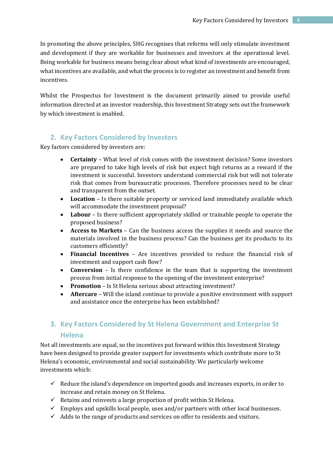In promoting the above principles, SHG recognises that reforms will only stimulate investment and development if they are workable for businesses and investors at the operational level. Being workable for business means being clear about what kind of investments are encouraged, what incentives are available, and what the process is to register an investment and benefit from incentives.

Whilst the Prospectus for Investment is the document primarily aimed to provide useful information directed at an investor readership, this Investment Strategy sets out the framework by which investment is enabled.

## <span id="page-3-0"></span>**2. Key Factors Considered by Investors**

Key factors considered by investors are:

- **Certainty** What level of risk comes with the investment decision? Some investors are prepared to take high levels of risk but expect high returns as a reward if the investment is successful. Investors understand commercial risk but will not tolerate risk that comes from bureaucratic processes. Therefore processes need to be clear and transparent from the outset.
- **Location** Is there suitable property or serviced land immediately available which will accommodate the investment proposal?
- **Labour** Is there sufficient appropriately skilled or trainable people to operate the proposed business?
- **Access to Markets** Can the business access the supplies it needs and source the materials involved in the business process? Can the business get its products to its customers efficiently?
- **Financial Incentives** Are incentives provided to reduce the financial risk of investment and support cash flow?
- **Conversion** Is there confidence in the team that is supporting the investment process from initial response to the opening of the investment enterprise?
- **Promotion** Is St Helena serious about attracting investment?
- **Aftercare** Will the island continue to provide a positive environment with support and assistance once the enterprise has been established?

# <span id="page-3-1"></span>**3. Key Factors Considered by St Helena Government and Enterprise St Helena**

Not all investments are equal, so the incentives put forward within this Investment Strategy have been designed to provide greater support for investments which contribute more to St Helena's economic, environmental and social sustainability. We particularly welcome investments which:

- $\checkmark$  Reduce the island's dependence on imported goods and increases exports, in order to increase and retain money on St Helena.
- $\checkmark$  Retains and reinvests a large proportion of profit within St Helena.
- $\checkmark$  Employs and upskills local people, uses and/or partners with other local businesses.
- $\checkmark$  Adds to the range of products and services on offer to residents and visitors.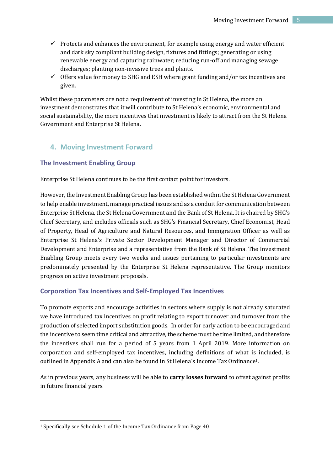- $\checkmark$  Protects and enhances the environment, for example using energy and water efficient and dark sky compliant building design, fixtures and fittings; generating or using renewable energy and capturing rainwater; reducing run-off and managing sewage discharges; planting non-invasive trees and plants.
- $\checkmark$  Offers value for money to SHG and ESH where grant funding and/or tax incentives are given.

Whilst these parameters are not a requirement of investing in St Helena, the more an investment demonstrates that it will contribute to St Helena's economic, environmental and social sustainability, the more incentives that investment is likely to attract from the St Helena Government and Enterprise St Helena.

## <span id="page-4-0"></span>**4. Moving Investment Forward**

#### <span id="page-4-1"></span>**The Investment Enabling Group**

Enterprise St Helena continues to be the first contact point for investors.

However, the Investment Enabling Group has been established within the St Helena Government to help enable investment, manage practical issues and as a conduit for communication between Enterprise St Helena, the St Helena Government and the Bank of St Helena. It is chaired by SHG's Chief Secretary, and includes officials such as SHG's Financial Secretary, Chief Economist, Head of Property, Head of Agriculture and Natural Resources, and Immigration Officer as well as Enterprise St Helena's Private Sector Development Manager and Director of Commercial Development and Enterprise and a representative from the Bank of St Helena. The Investment Enabling Group meets every two weeks and issues pertaining to particular investments are predominately presented by the Enterprise St Helena representative. The Group monitors progress on active investment proposals.

#### <span id="page-4-2"></span>**Corporation Tax Incentives and Self-Employed Tax Incentives**

To promote exports and encourage activities in sectors where supply is not already saturated we have introduced tax incentives on profit relating to export turnover and turnover from the production of selected import substitution goods. In order for early action to be encouraged and the incentive to seem time critical and attractive, the scheme must be time limited, and therefore the incentives shall run for a period of 5 years from 1 April 2019. More information on corporation and self-employed tax incentives, including definitions of what is included, is outlined in Appendix A and can also be found in St Helena's Income Tax Ordinance1.

As in previous years, any business will be able to **carry losses forward** to offset against profits in future financial years.

-

<sup>1</sup> Specifically see Schedule 1 of the Income Tax Ordinance from Page 40.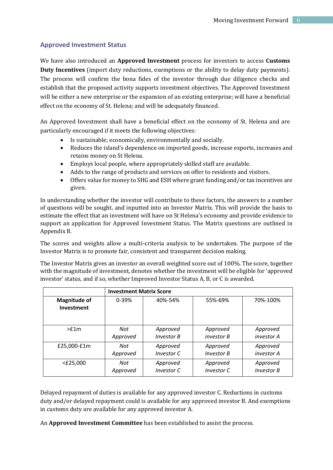## <span id="page-5-0"></span>**Approved Investment Status**

We have also introduced an **Approved Investment** process for investors to access **Customs Duty Incentives** (import duty reductions, exemptions or the ability to delay duty payments). The process will confirm the bona fides of the investor through due diligence checks and establish that the proposed activity supports investment objectives. The Approved Investment will be either a new enterprise or the expansion of an existing enterprise; will have a beneficial effect on the economy of St. Helena; and will be adequately financed.

An Approved Investment shall have a beneficial effect on the economy of St. Helena and are particularly encouraged if it meets the following objectives:

- Is sustainable; economically, environmentally and socially.
- Reduces the island's dependence on imported goods, increase exports, increases and retains money on St Helena.
- Employs local people, where appropriately skilled staff are available.
- Adds to the range of products and services on offer to residents and visitors.
- Offers value for money to SHG and ESH where grant funding and/or tax incentives are given.

In understanding whether the investor will contribute to these factors, the answers to a number of questions will be sought, and inputted into an Investor Matrix. This will provide the basis to estimate the effect that an investment will have on St Helena's economy and provide evidence to support an application for Approved Investment Status. The Matrix questions are outlined in Appendix B.

The scores and weights allow a multi-criteria analysis to be undertaken. The purpose of the Investor Matrix is to promote fair, consistent and transparent decision making.

The Investor Matrix gives an investor an overall weighted score out of 100%. The score, together with the magnitude of investment, denotes whether the investment will be eligible for 'approved investor' status, and if so, whether Improved Investor Status A, B, or C is awarded.

|                                   | <b>Investment Matrix Score</b> |                   |                   |                   |
|-----------------------------------|--------------------------------|-------------------|-------------------|-------------------|
| <b>Magnitude of</b><br>Investment | $0 - 39%$                      | 40%-54%           | 55%-69%           | 70%-100%          |
| $>$ f1m                           | Not                            | Approved          | Approved          | Approved          |
|                                   | Approved                       | <b>Investor B</b> | investor B        | investor A        |
| £25,000-£1m                       | Not                            | Approved          | Approved          | Approved          |
|                                   | Approved                       | Investor C        | <b>Investor B</b> | investor A        |
| $<$ £25,000                       | Not                            | Approved          | Approved          | Approved          |
|                                   | Approved                       | Investor C        | Investor C        | <b>Investor B</b> |

Delayed repayment of duties is available for any approved investor C. Reductions in customs duty and/or delayed repayment could is available for any approved investor B. And exemptions in customs duty are available for any approved investor A.

An **Approved Investment Committee** has been established to assist the process.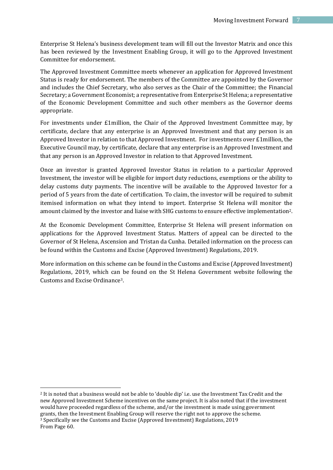Enterprise St Helena's business development team will fill out the Investor Matrix and once this has been reviewed by the Investment Enabling Group, it will go to the Approved Investment Committee for endorsement.

The Approved Investment Committee meets whenever an application for Approved Investment Status is ready for endorsement. The members of the Committee are appointed by the Governor and includes the Chief Secretary, who also serves as the Chair of the Committee; the Financial Secretary; a Government Economist; a representative from Enterprise St Helena; a representative of the Economic Development Committee and such other members as the Governor deems appropriate.

For investments under £1million, the Chair of the Approved Investment Committee may, by certificate, declare that any enterprise is an Approved Investment and that any person is an Approved Investor in relation to that Approved Investment. For investments over £1million, the Executive Council may, by certificate, declare that any enterprise is an Approved Investment and that any person is an Approved Investor in relation to that Approved Investment.

Once an investor is granted Approved Investor Status in relation to a particular Approved Investment, the investor will be eligible for import duty reductions, exemptions or the ability to delay customs duty payments. The incentive will be available to the Approved Investor for a period of 5 years from the date of certification. To claim, the investor will be required to submit itemised information on what they intend to import. Enterprise St Helena will monitor the amount claimed by the investor and liaise with SHG customs to ensure effective implementation2.

At the Economic Development Committee, Enterprise St Helena will present information on applications for the Approved Investment Status. Matters of appeal can be directed to the Governor of St Helena, Ascension and Tristan da Cunha. Detailed information on the process can be found within the Customs and Excise (Approved Investment) Regulations, 2019.

More information on this scheme can be found in the Customs and Excise (Approved Investment) Regulations, 2019, which can be found on the St Helena Government website following the Customs and Excise Ordinance3.

<u>.</u>

<sup>&</sup>lt;sup>2</sup> It is noted that a business would not be able to 'double dip' i.e. use the Investment Tax Credit and the new Approved Investment Scheme incentives on the same project. It is also noted that if the investment would have proceeded regardless of the scheme, and/or the investment is made using government grants, then the Investment Enabling Group will reserve the right not to approve the scheme. <sup>3</sup> Specifically see the Customs and Excise (Approved Investment) Regulations, 2019 From Page 60.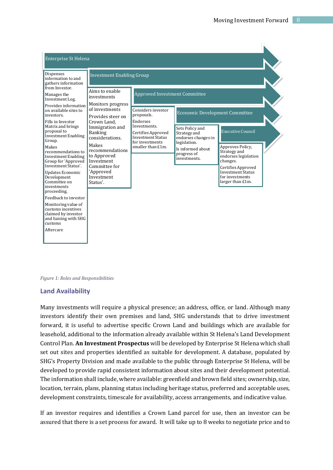

*Figure 1: Roles and Responsibilities*

#### <span id="page-7-0"></span>**Land Availability**

Many investments will require a physical presence; an address, office, or land. Although many investors identify their own premises and land, SHG understands that to drive investment forward, it is useful to advertise specific Crown Land and buildings which are available for leasehold, additional to the information already available within St Helena's Land Development Control Plan. **An Investment Prospectus** will be developed by Enterprise St Helena which shall set out sites and properties identified as suitable for development. A database, populated by SHG's Property Division and made available to the public through Enterprise St Helena, will be developed to provide rapid consistent information about sites and their development potential. The information shall include, where available: greenfield and brown field sites; ownership, size, location, terrain, plans, planning status including heritage status, preferred and acceptable uses, development constraints, timescale for availability, access arrangements, and indicative value.

If an investor requires and identifies a Crown Land parcel for use, then an investor can be assured that there is a set process for award. It will take up to 8 weeks to negotiate price and to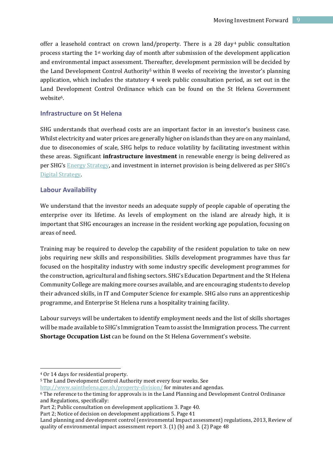offer a leasehold contract on crown land/property. There is a 28 day<sup>4</sup> public consultation process starting the 1st working day of month after submission of the development application and environmental impact assessment. Thereafter, development permission will be decided by the Land Development Control Authority<sup>5</sup> within 8 weeks of receiving the investor's planning application, which includes the statutory 4 week public consultation period, as set out in the Land Development Control Ordinance which can be found on the St Helena Government website6.

## <span id="page-8-0"></span>**Infrastructure on St Helena**

SHG understands that overhead costs are an important factor in an investor's business case. Whilst electricity and water prices are generally higher on islands than they are on any mainland, due to diseconomies of scale, SHG helps to reduce volatility by facilitating investment within these areas. Significant **infrastructure investment** in renewable energy is being delivered as per SHG's [Energy Strategy](http://www.sainthelena.gov.sh/wp-content/uploads/2012/08/161025_St-Helena-Government-Energy-Strategy-FINAL-October-2016.pdf), and investment in internet provision is being delivered as per SHG's [Digital Strategy.](http://www.sainthelena.gov.sh/wp-content/uploads/2012/08/Draft-Digital-Strategy-July-2017.pdf) 

### <span id="page-8-1"></span>**Labour Availability**

We understand that the investor needs an adequate supply of people capable of operating the enterprise over its lifetime. As levels of employment on the island are already high, it is important that SHG encourages an increase in the resident working age population, focusing on areas of need.

Training may be required to develop the capability of the resident population to take on new jobs requiring new skills and responsibilities. Skills development programmes have thus far focused on the hospitality industry with some industry specific development programmes for the construction, agricultural and fishing sectors. SHG's Education Department and the St Helena Community College are making more courses available, and are encouraging students to develop their advanced skills, in IT and Computer Science for example. SHG also runs an apprenticeship programme, and Enterprise St Helena runs a hospitality training facility.

Labour surveys will be undertaken to identify employment needs and the list of skills shortages will be made available to SHG's Immigration Team to assist the Immigration process. The current **Shortage Occupation List** can be found on the St Helena Government's website.

.<br>-

<http://www.sainthelena.gov.sh/property-division/> for minutes and agendas.

<sup>4</sup> Or 14 days for residential property.

<sup>5</sup> The Land Development Control Authority meet every four weeks. See

<sup>6</sup> The reference to the timing for approvals is in the Land Planning and Development Control Ordinance and Regulations, specifically:

Part 2; Public consultation on development applications 3. Page 40.

Part 2; Notice of decision on development applications 5. Page 41

Land planning and development control (environmental Impact assessment) regulations, 2013, Review of quality of environmental impact assessment report 3. (1) (b) and 3. (2) Page 48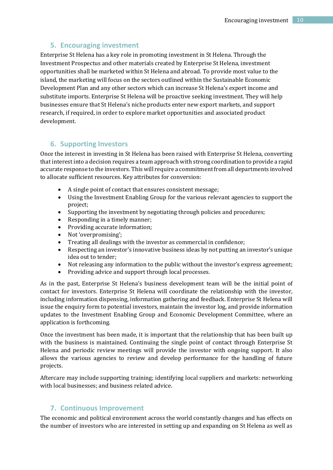## **5. Encouraging investment**

<span id="page-9-0"></span>Enterprise St Helena has a key role in promoting investment in St Helena. Through the Investment Prospectus and other materials created by Enterprise St Helena, investment opportunities shall be marketed within St Helena and abroad. To provide most value to the island, the marketing will focus on the sectors outlined within the Sustainable Economic Development Plan and any other sectors which can increase St Helena's export income and substitute imports. Enterprise St Helena will be proactive seeking investment. They will help businesses ensure that St Helena's niche products enter new export markets, and support research, if required, in order to explore market opportunities and associated product development.

## <span id="page-9-1"></span>**6. Supporting Investors**

Once the interest in investing in St Helena has been raised with Enterprise St Helena, converting that interest into a decision requires a team approach with strong coordination to provide a rapid accurate response to the investors. This will require a commitment from all departments involved to allocate sufficient resources. Key attributes for conversion:

- A single point of contact that ensures consistent message;
- Using the Investment Enabling Group for the various relevant agencies to support the project;
- Supporting the investment by negotiating through policies and procedures;
- Responding in a timely manner;
- Providing accurate information;
- Not 'overpromising';
- Treating all dealings with the investor as commercial in confidence;
- Respecting an investor's innovative business ideas by not putting an investor's unique idea out to tender;
- Not releasing any information to the public without the investor's express agreement;
- Providing advice and support through local processes.

As in the past, Enterprise St Helena's business development team will be the initial point of contact for investors. Enterprise St Helena will coordinate the relationship with the investor, including information dispensing, information gathering and feedback. Enterprise St Helena will issue the enquiry form to potential investors, maintain the investor log, and provide information updates to the Investment Enabling Group and Economic Development Committee, where an application is forthcoming.

Once the investment has been made, it is important that the relationship that has been built up with the business is maintained. Continuing the single point of contact through Enterprise St Helena and periodic review meetings will provide the investor with ongoing support. It also allows the various agencies to review and develop performance for the handling of future projects.

Aftercare may include supporting training; identifying local suppliers and markets: networking with local businesses; and business related advice.

## <span id="page-9-2"></span>**7. Continuous Improvement**

The economic and political environment across the world constantly changes and has effects on the number of investors who are interested in setting up and expanding on St Helena as well as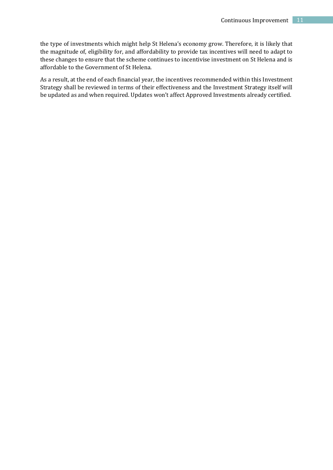the type of investments which might help St Helena's economy grow. Therefore, it is likely that the magnitude of, eligibility for, and affordability to provide tax incentives will need to adapt to these changes to ensure that the scheme continues to incentivise investment on St Helena and is affordable to the Government of St Helena.

As a result, at the end of each financial year, the incentives recommended within this Investment Strategy shall be reviewed in terms of their effectiveness and the Investment Strategy itself will be updated as and when required. Updates won't affect Approved Investments already certified.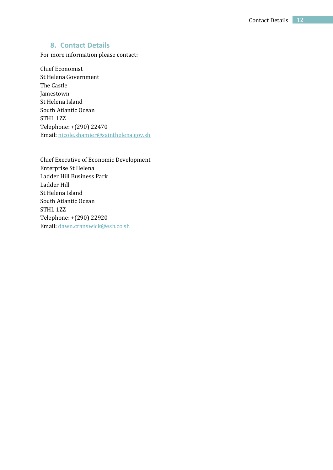## **8. Contact Details**

<span id="page-11-0"></span>For more information please contact:

Chief Economist St Helena Government The Castle Jamestown St Helena Island South Atlantic Ocean STHL 1ZZ Telephone: +(290) 22470 Email: [nicole.shamier@sainthelena.gov.sh](mailto:nicole.shamier@sainthelena.gov.sh)

Chief Executive of Economic Development Enterprise St Helena Ladder Hill Business Park Ladder Hill St Helena Island South Atlantic Ocean STHL 1ZZ Telephone: +(290) 22920 Email: [dawn.cranswick@esh.co.sh](mailto:dawn.cranswick@esh.co.sh)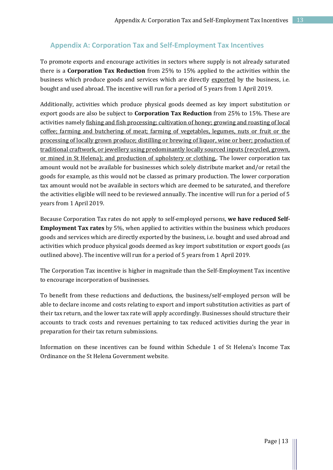## <span id="page-12-0"></span>**Appendix A: Corporation Tax and Self-Employment Tax Incentives**

To promote exports and encourage activities in sectors where supply is not already saturated there is a **Corporation Tax Reduction** from 25% to 15% applied to the activities within the business which produce goods and services which are directly exported by the business, i.e. bought and used abroad. The incentive will run for a period of 5 years from 1 April 2019.

Additionally, activities which produce physical goods deemed as key import substitution or export goods are also be subject to **Corporation Tax Reduction** from 25% to 15%. These are activities namely fishing and fish processing; cultivation of honey; growing and roasting of local coffee; farming and butchering of meat; farming of vegetables, legumes, nuts or fruit or the processing of locally grown produce; distilling or brewing of liquor, wine or beer; production of traditional craftwork, or jewellery using predominantly locally sourced inputs (recycled, grown, or mined in St Helena); and production of upholstery or clothing,. The lower corporation tax amount would not be available for businesses which solely distribute market and/or retail the goods for example, as this would not be classed as primary production. The lower corporation tax amount would not be available in sectors which are deemed to be saturated, and therefore the activities eligible will need to be reviewed annually. The incentive will run for a period of 5 years from 1 April 2019.

Because Corporation Tax rates do not apply to self-employed persons, **we have reduced Self-Employment Tax rates** by 5%, when applied to activities within the business which produces goods and services which are directly exported by the business, i.e. bought and used abroad and activities which produce physical goods deemed as key import substitution or export goods (as outlined above). The incentive will run for a period of 5 years from 1 April 2019.

The Corporation Tax incentive is higher in magnitude than the Self-Employment Tax incentive to encourage incorporation of businesses.

To benefit from these reductions and deductions, the business/self-employed person will be able to declare income and costs relating to export and import substitution activities as part of their tax return, and the lower tax rate will apply accordingly. Businesses should structure their accounts to track costs and revenues pertaining to tax reduced activities during the year in preparation for their tax return submissions.

Information on these incentives can be found within Schedule 1 of St Helena's Income Tax Ordinance on the St Helena Government website.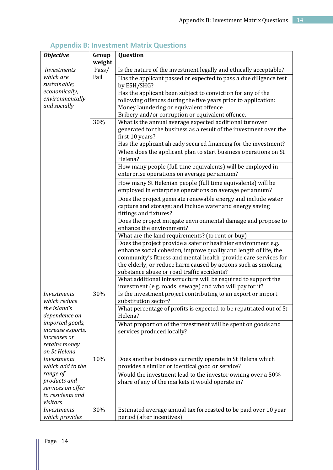<span id="page-13-0"></span>

| <b>Objective</b>                      | Group<br>weight | Question                                                                                                     |
|---------------------------------------|-----------------|--------------------------------------------------------------------------------------------------------------|
| <b>Investments</b>                    | Pass/           | Is the nature of the investment legally and ethically acceptable?                                            |
| which are                             | Fail            | Has the applicant passed or expected to pass a due diligence test                                            |
| sustainable;                          |                 | by ESH/SHG?                                                                                                  |
| economically,                         |                 | Has the applicant been subject to conviction for any of the                                                  |
| environmentally                       |                 | following offences during the five years prior to application:                                               |
| and socially                          |                 | Money laundering or equivalent offence                                                                       |
|                                       |                 | Bribery and/or corruption or equivalent offence.                                                             |
|                                       | 30%             | What is the annual average expected additional turnover                                                      |
|                                       |                 | generated for the business as a result of the investment over the                                            |
|                                       |                 | first 10 years?                                                                                              |
|                                       |                 | Has the applicant already secured financing for the investment?                                              |
|                                       |                 | When does the applicant plan to start business operations on St<br>Helena?                                   |
|                                       |                 | How many people (full time equivalents) will be employed in<br>enterprise operations on average per annum?   |
|                                       |                 | How many St Helenian people (full time equivalents) will be                                                  |
|                                       |                 | employed in enterprise operations on average per annum?                                                      |
|                                       |                 | Does the project generate renewable energy and include water                                                 |
|                                       |                 | capture and storage; and include water and energy saving                                                     |
|                                       |                 | fittings and fixtures?                                                                                       |
|                                       |                 | Does the project mitigate environmental damage and propose to                                                |
|                                       |                 | enhance the environment?                                                                                     |
|                                       |                 | What are the land requirements? (to rent or buy)                                                             |
|                                       |                 | Does the project provide a safer or healthier environment e.g.                                               |
|                                       |                 | enhance social cohesion, improve quality and length of life, the                                             |
|                                       |                 | community's fitness and mental health, provide care services for                                             |
|                                       |                 | the elderly, or reduce harm caused by actions such as smoking,                                               |
|                                       |                 | substance abuse or road traffic accidents?<br>What additional infrastructure will be required to support the |
|                                       |                 | investment (e.g. roads, sewage) and who will pay for it?                                                     |
| <i>Investments</i>                    | 30%             | Is the investment project contributing to an export or import                                                |
| which reduce                          |                 | substitution sector?                                                                                         |
| the island's                          |                 | What percentage of profits is expected to be repatriated out of St                                           |
| dependence on                         |                 | Helena?                                                                                                      |
| imported goods,                       |                 | What proportion of the investment will be spent on goods and                                                 |
| increase exports,                     |                 | services produced locally?                                                                                   |
| increases or                          |                 |                                                                                                              |
| retains money                         |                 |                                                                                                              |
| on St Helena                          |                 |                                                                                                              |
| <b>Investments</b>                    | 10%             | Does another business currently operate in St Helena which                                                   |
| which add to the                      |                 | provides a similar or identical good or service?                                                             |
| range of                              |                 | Would the investment lead to the investor owning over a 50%                                                  |
| products and                          |                 | share of any of the markets it would operate in?                                                             |
| services on offer<br>to residents and |                 |                                                                                                              |
| visitors                              |                 |                                                                                                              |
| <b>Investments</b>                    | 30%             | Estimated average annual tax forecasted to be paid over 10 year                                              |
| which provides                        |                 | period (after incentives).                                                                                   |

## **Appendix B: Investment Matrix Questions**